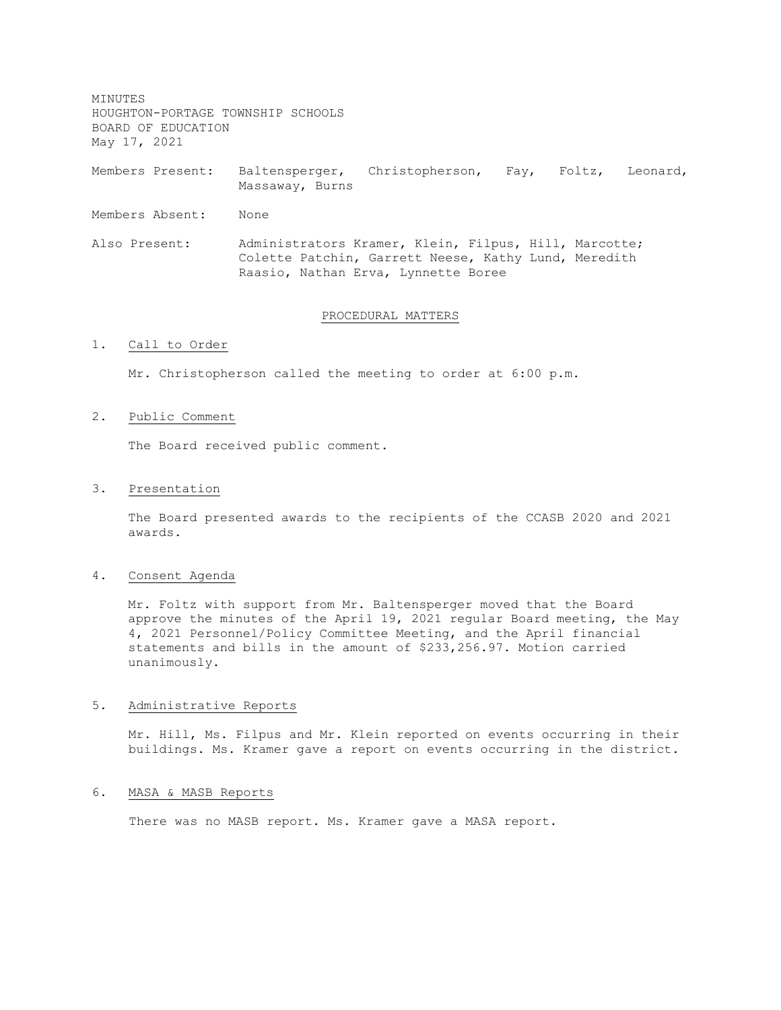MINUTES HOUGHTON-PORTAGE TOWNSHIP SCHOOLS BOARD OF EDUCATION May 17, 2021

Members Present: Baltensperger, Christopherson, Fay, Foltz, Leonard, Massaway, Burns

Members Absent: None

Also Present: Administrators Kramer, Klein, Filpus, Hill, Marcotte; Colette Patchin, Garrett Neese, Kathy Lund, Meredith Raasio, Nathan Erva, Lynnette Boree

#### PROCEDURAL MATTERS

## 1. Call to Order

Mr. Christopherson called the meeting to order at 6:00 p.m.

## 2. Public Comment

The Board received public comment.

#### 3. Presentation

The Board presented awards to the recipients of the CCASB 2020 and 2021 awards.

## 4. Consent Agenda

Mr. Foltz with support from Mr. Baltensperger moved that the Board approve the minutes of the April 19, 2021 regular Board meeting, the May 4, 2021 Personnel/Policy Committee Meeting, and the April financial statements and bills in the amount of \$233,256.97. Motion carried unanimously.

#### 5. Administrative Reports

Mr. Hill, Ms. Filpus and Mr. Klein reported on events occurring in their buildings. Ms. Kramer gave a report on events occurring in the district.

## 6. MASA & MASB Reports

There was no MASB report. Ms. Kramer gave a MASA report.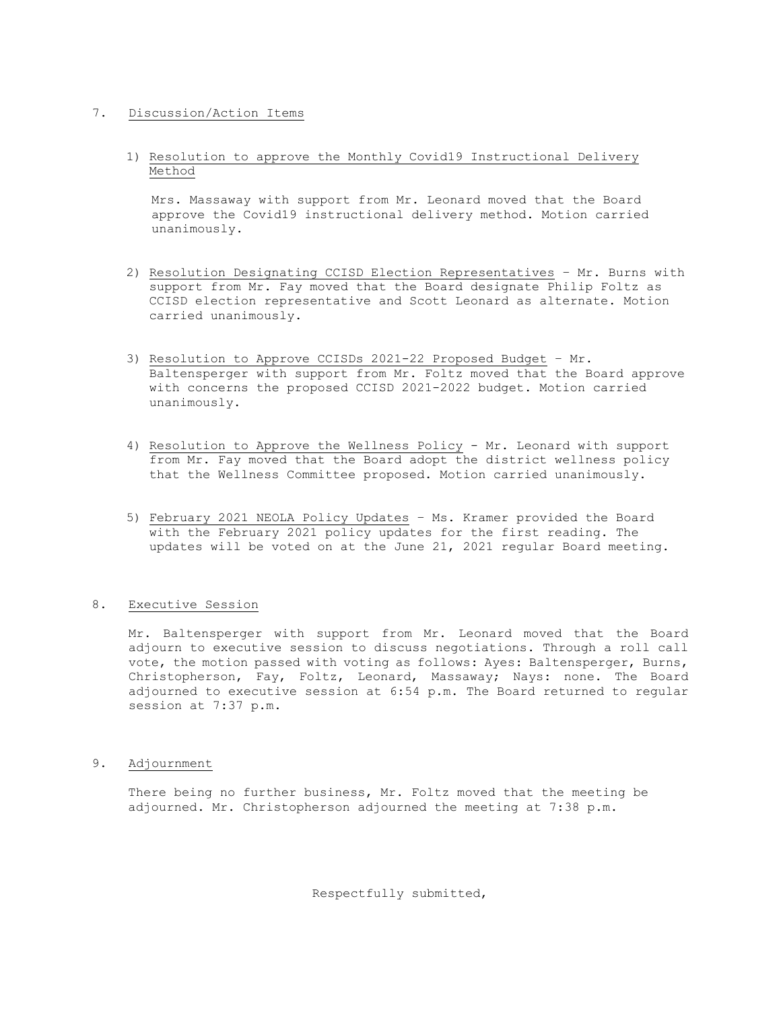# 7. Discussion/Action Items

1) Resolution to approve the Monthly Covid19 Instructional Delivery Method

Mrs. Massaway with support from Mr. Leonard moved that the Board approve the Covid19 instructional delivery method. Motion carried unanimously.

- 2) Resolution Designating CCISD Election Representatives Mr. Burns with support from Mr. Fay moved that the Board designate Philip Foltz as CCISD election representative and Scott Leonard as alternate. Motion carried unanimously.
- 3) Resolution to Approve CCISDs 2021-22 Proposed Budget Mr. Baltensperger with support from Mr. Foltz moved that the Board approve with concerns the proposed CCISD 2021-2022 budget. Motion carried unanimously.
- 4) Resolution to Approve the Wellness Policy Mr. Leonard with support from Mr. Fay moved that the Board adopt the district wellness policy that the Wellness Committee proposed. Motion carried unanimously.
- 5) February 2021 NEOLA Policy Updates Ms. Kramer provided the Board with the February 2021 policy updates for the first reading. The updates will be voted on at the June 21, 2021 regular Board meeting.

# 8. Executive Session

Mr. Baltensperger with support from Mr. Leonard moved that the Board adjourn to executive session to discuss negotiations. Through a roll call vote, the motion passed with voting as follows: Ayes: Baltensperger, Burns, Christopherson, Fay, Foltz, Leonard, Massaway; Nays: none. The Board adjourned to executive session at 6:54 p.m. The Board returned to regular session at 7:37 p.m.

9. Adjournment

There being no further business, Mr. Foltz moved that the meeting be adjourned. Mr. Christopherson adjourned the meeting at 7:38 p.m.

Respectfully submitted,